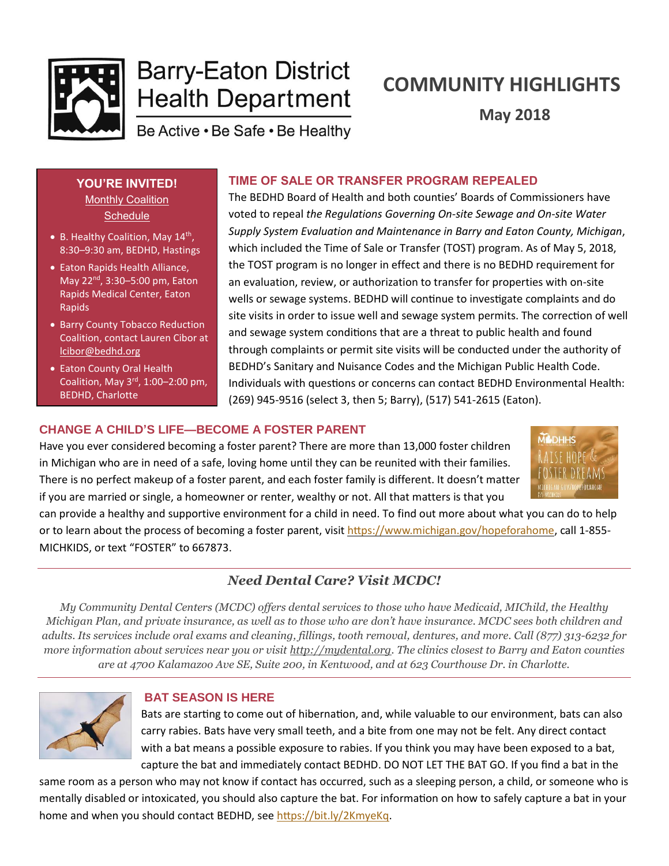

# **Barry-Eaton District Health Department**

# **COMMUNITY HIGHLIGHTS**

**May 2018**

Be Active . Be Safe . Be Healthy

## **YOU'RE INVITED!**

**Monthly Coalition Schedule** 

- B. Healthy Coalition, May 14<sup>th</sup>, 8:30–9:30 am, BEDHD, Hastings
- Eaton Rapids Health Alliance, May 22 $^{\rm nd}$ , 3:30–5:00 pm, Eaton Rapids Medical Center, Eaton Rapids
- Barry County Tobacco Reduction Coalition, contact Lauren Cibor at [lcibor@bedhd.org](mailto:lcibor@bedhd.org)
- Eaton County Oral Health Coalition, May  $3<sup>rd</sup>$ , 1:00-2:00 pm, BEDHD, Charlotte

The BEDHD Board of Health and both counties' Boards of Commissioners have voted to repeal *the Regulations Governing On-site Sewage and On-site Water Supply System Evaluation and Maintenance in Barry and Eaton County, Michigan*, which included the Time of Sale or Transfer (TOST) program. As of May 5, 2018, the TOST program is no longer in effect and there is no BEDHD requirement for an evaluation, review, or authorization to transfer for properties with on-site wells or sewage systems. BEDHD will continue to investigate complaints and do site visits in order to issue well and sewage system permits. The correction of well and sewage system conditions that are a threat to public health and found through complaints or permit site visits will be conducted under the authority of BEDHD's Sanitary and Nuisance Codes and the Michigan Public Health Code. Individuals with questions or concerns can contact BEDHD Environmental Health: (269) 945-9516 (select 3, then 5; Barry), (517) 541-2615 (Eaton).

**TIME OF SALE OR TRANSFER PROGRAM REPEALED**

## **CHANGE A CHILD'S LIFE—BECOME A FOSTER PARENT**

Have you ever considered becoming a foster parent? There are more than 13,000 foster children in Michigan who are in need of a safe, loving home until they can be reunited with their families. There is no perfect makeup of a foster parent, and each foster family is different. It doesn't matter if you are married or single, a homeowner or renter, wealthy or not. All that matters is that you



can provide a healthy and supportive environment for a child in need. To find out more about what you can do to help or to learn about the process of becoming a foster parent, visit [https://www.michigan.gov/hopeforahome,](https://www.michigan.gov/hopeforahome) call 1-855- MICHKIDS, or text "FOSTER" to 667873.

## *Need Dental Care? Visit MCDC!*

*My Community Dental Centers (MCDC) offers dental services to those who have Medicaid, MIChild, the Healthy Michigan Plan, and private insurance, as well as to those who are don't have insurance. MCDC sees both children and adults. Its services include oral exams and cleaning, fillings, tooth removal, dentures, and more. Call (877) 313-6232 for more information about services near you or visit [http://mydental.org.](http://mydental.org/) The clinics closest to Barry and Eaton counties are at 4700 Kalamazoo Ave SE, Suite 200, in Kentwood, and at 623 Courthouse Dr. in Charlotte.*



## **BAT SEASON IS HERE**

Bats are starting to come out of hibernation, and, while valuable to our environment, bats can also carry rabies. Bats have very small teeth, and a bite from one may not be felt. Any direct contact with a bat means a possible exposure to rabies. If you think you may have been exposed to a bat, capture the bat and immediately contact BEDHD. DO NOT LET THE BAT GO. If you find a bat in the

same room as a person who may not know if contact has occurred, such as a sleeping person, a child, or someone who is mentally disabled or intoxicated, you should also capture the bat. For information on how to safely capture a bat in your home and when you should contact BEDHD, see [https://bit.ly/2KmyeKq.](https://bit.ly/2KmyeKq)